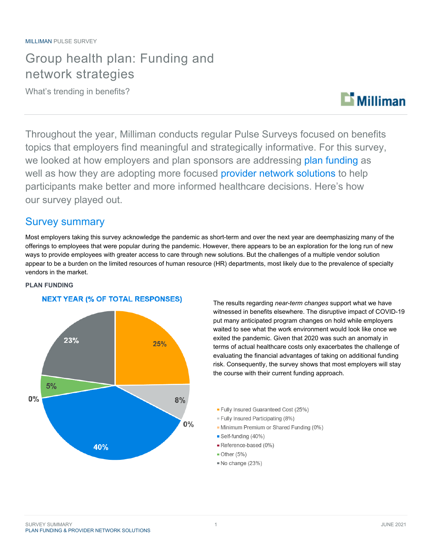## Group health plan: Funding and network strategies

What's trending in benefits?



Throughout the year, Milliman conducts regular Pulse Surveys focused on benefits topics that employers find meaningful and strategically informative. For this survey, we looked at how employers and plan sponsors are addressing plan funding as well as how they are adopting more focused provider network solutions to help participants make better and more informed healthcare decisions. Here's how our survey played out.

### Survey summary

Most employers taking this survey acknowledge the pandemic as short-term and over the next year are deemphasizing many of the offerings to employees that were popular during the pandemic. However, there appears to be an exploration for the long run of new ways to provide employees with greater access to care through new solutions. But the challenges of a multiple vendor solution appear to be a burden on the limited resources of human resource (HR) departments, most likely due to the prevalence of specialty vendors in the market.





The results regarding *near-term changes* support what we have witnessed in benefits elsewhere. The disruptive impact of COVID-19 put many anticipated program changes on hold while employers waited to see what the work environment would look like once we exited the pandemic. Given that 2020 was such an anomaly in terms of actual healthcare costs only exacerbates the challenge of evaluating the financial advantages of taking on additional funding risk. Consequently, the survey shows that most employers will stay the course with their current funding approach.

- Fully Insured Guaranteed Cost (25%)
- Fully Insured Participating (8%)
- Minimum Premium or Shared Funding (0%)
- Self-funding (40%)
- Reference-based (0%)
- $\blacksquare$  Other (5%)
- No change (23%)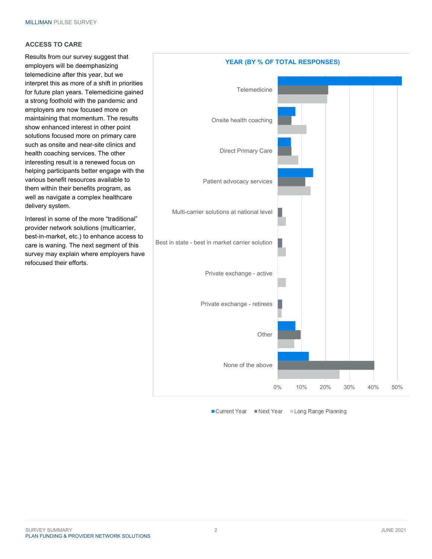#### **ACCESS TO CARE**

Results from our survey suggest that employers will be deemphasizing telemedicine after this year, but we interpret this as more of a shift in priorities for future plan years. Telemedicine gained a strong foothold with the pandemic and employers are now focused more on maintaining that momentum. The results show enhanced interest in other point solutions focused more on primary care such as onsite and near-site clinics and health coaching services. The other interesting result is a renewed focus on helping participants better engage with the various benefit resources available to them within their benefits program, as well as navigate a complex healthcare delivery system.

Interest in some of the more "traditional" provider network solutions (multicarrier, best-in-market, etc.) to enhance access to care is waning. The next segment of this survey may explain where employers have refocused their efforts.



■ Current Year Next Year Long Range Planning